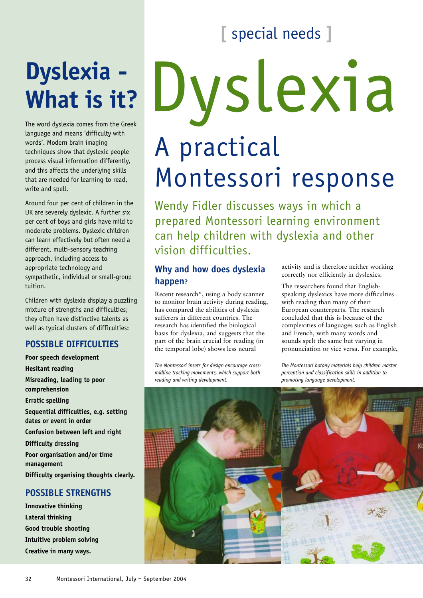## **[** special needs **]**

## **Dyslexia - What is it?**

The word dyslexia comes from the Greek language and means 'difficulty with words'. Modern brain imaging techniques show that dyslexic people process visual information differently, and this affects the underlying skills that are needed for learning to read, write and spell.

Around four per cent of children in the UK are severely dyslexic. A further six per cent of boys and girls have mild to moderate problems. Dyslexic children can learn effectively but often need a different, multi-sensory teaching approach, including access to appropriate technology and sympathetic, individual or small-group tuition.

Children with dyslexia display a puzzling mixture of strengths and difficulties; they often have distinctive talents as well as typical clusters of difficulties:

## **POSSIBLE DIFFICULTIES**

**Poor speech development Hesitant reading Misreading, leading to poor comprehension Erratic spelling Sequential difficulties, e.g. setting dates or event in order Confusion between left and right Difficulty dressing Poor organisation and/or time management Difficulty organising thoughts clearly.**

## **POSSIBLE STRENGTHS**

**Innovative thinking Lateral thinking Good trouble shooting Intuitive problem solving Creative in many ways.**

# Dyslexia A practical Montessori response

Wendy Fidler discusses ways in which a prepared Montessori learning environment can help children with dyslexia and other vision difficulties.

## **Why and how does dyslexia happen?**

Recent research\*, using a body scanner to monitor brain activity during reading, has compared the abilities of dyslexia sufferers in different countries. The research has identified the biological basis for dyslexia, and suggests that the part of the brain crucial for reading (in the temporal lobe) shows less neural

*The Montessori insets for design encourage crossmidline tracking movements, which support both reading and writing development.*

activity and is therefore neither working correctly nor efficiently in dyslexics.

The researchers found that Englishspeaking dyslexics have more difficulties with reading than many of their European counterparts. The research concluded that this is because of the complexities of languages such as English and French, with many words and sounds spelt the same but varying in pronunciation or vice versa. For example,

*The Montessori botany materials help children master perception and classification skills in addition to promoting language development.*

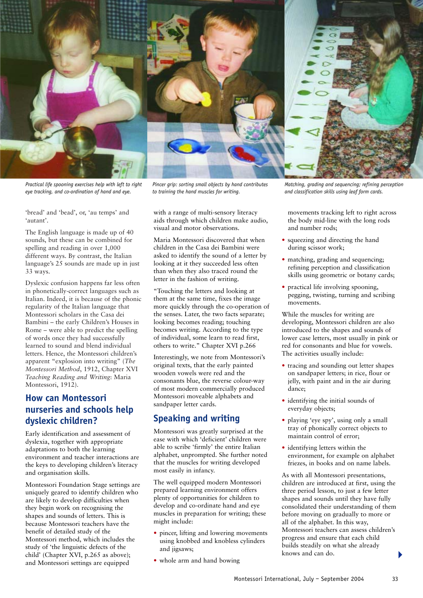

*Practical life spooning exercises help with left to right eye tracking, and co-ordination of hand and eye.*

*Pincer grip: sorting small objects by hand contributes to training the hand muscles for writing.*

'bread' and 'bead', or, 'au temps' and 'autant'.

The English language is made up of 40 sounds, but these can be combined for spelling and reading in over 1,000 different ways. By contrast, the Italian language's 25 sounds are made up in just 33 ways.

Dyslexic confusion happens far less often in phonetically-correct languages such as Italian. Indeed, it is because of the phonic regularity of the Italian language that Montessori scholars in the Casa dei Bambini – the early Children's Houses in Rome – were able to predict the spelling of words once they had successfully learned to sound and blend individual letters. Hence, the Montessori children's apparent "explosion into writing" (*The Montessori Method*, 1912, Chapter XVI *Teaching Reading and Writing*: Maria Montessori, 1912).

## **How can Montessori nurseries and schools help dyslexic children?**

Early identification and assessment of dyslexia, together with appropriate adaptations to both the learning environment and teacher interactions are the keys to developing children's literacy and organisation skills.

Montessori Foundation Stage settings are uniquely geared to identify children who are likely to develop difficulties when they begin work on recognising the shapes and sounds of letters. This is because Montessori teachers have the benefit of detailed study of the Montessori method, which includes the study of 'the linguistic defects of the child' (Chapter XVI, p.265 as above); and Montessori settings are equipped

with a range of multi-sensory literacy aids through which children make audio, visual and motor observations.

Maria Montessori discovered that when children in the Casa dei Bambini were asked to identify the sound of a letter by looking at it they succeeded less often than when they also traced round the letter in the fashion of writing.

"Touching the letters and looking at them at the same time, fixes the image more quickly through the co-operation of the senses. Later, the two facts separate; looking becomes reading; touching becomes writing. According to the type of individual, some learn to read first, others to write." Chapter XVI p.266

Interestingly, we note from Montessori's original texts, that the early painted wooden vowels were red and the consonants blue, the reverse colour-way of most modern commercially produced Montessori moveable alphabets and sandpaper letter cards.

## **Speaking and writing**

Montessori was greatly surprised at the ease with which 'deficient' children were able to scribe 'firmly' the entire Italian alphabet, unprompted. She further noted that the muscles for writing developed most easily in infancy.

The well equipped modern Montessori prepared learning environment offers plenty of opportunities for children to develop and co-ordinate hand and eye muscles in preparation for writing; these might include:

- pincer, lifting and lowering movements using knobbed and knobless cylinders and jigsaws;
- whole arm and hand bowing

*Matching, grading and sequencing; refining perception and classification skills using leaf form cards.*

movements tracking left to right across the body mid-line with the long rods and number rods;

- squeezing and directing the hand during scissor work;
- matching, grading and sequencing; refining perception and classification skills using geometric or botany cards;
- practical life involving spooning, pegging, twisting, turning and scribing movements.

While the muscles for writing are developing, Montessori children are also introduced to the shapes and sounds of lower case letters, most usually in pink or red for consonants and blue for vowels. The activities usually include:

- tracing and sounding out letter shapes on sandpaper letters; in rice, flour or jelly, with paint and in the air during dance;
- identifying the initial sounds of everyday objects;
- playing 'eye spy', using only a small tray of phonically correct objects to maintain control of error;
- identifying letters within the environment, for example on alphabet friezes, in books and on name labels.

As with all Montessori presentations, children are introduced at first, using the three period lesson, to just a few letter shapes and sounds until they have fully consolidated their understanding of them before moving on gradually to more or all of the alphabet. In this way, Montessori teachers can assess children's progress and ensure that each child builds steadily on what she already knows and can do.

 $\blacktriangleright$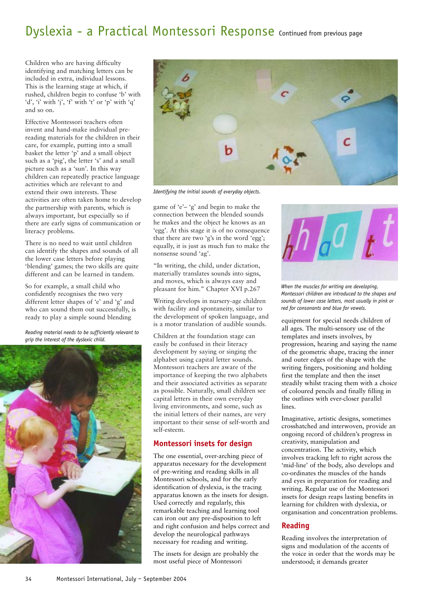## Dyslexia - a Practical Montessori Response Continued from previous page

Children who are having difficulty identifying and matching letters can be included in extra, individual lessons. This is the learning stage at which, if rushed, children begin to confuse 'b' with 'd', 'i' with 'j', 'f' with 't' or 'p' with 'q' and so on.

Effective Montessori teachers often invent and hand-make individual prereading materials for the children in their care, for example, putting into a small basket the letter 'p' and a small object such as a 'pig', the letter 's' and a small picture such as a 'sun'. In this way children can repeatedly practice language activities which are relevant to and extend their own interests. These activities are often taken home to develop the partnership with parents, which is always important, but especially so if there are early signs of communication or literacy problems.

There is no need to wait until children can identify the shapes and sounds of all the lower case letters before playing 'blending' games; the two skills are quite different and can be learned in tandem.

So for example, a small child who confidently recognises the two very different letter shapes of 'e' and 'g' and who can sound them out successfully, is ready to play a simple sound blending

*Reading material needs to be sufficiently relevant to grip the interest of the dyslexic child.*





*Identifying the initial sounds of everyday objects.*

game of 'e'– 'g' and begin to make the connection between the blended sounds he makes and the object he knows as an 'egg'. At this stage it is of no consequence that there are two 'g's in the word 'egg'; equally, it is just as much fun to make the nonsense sound 'ag'.

"In writing, the child, under dictation, materially translates sounds into signs, and moves, which is always easy and pleasant for him." Chapter XVI p.267

Writing develops in nursery-age children with facility and spontaneity, similar to the development of spoken language, and is a motor translation of audible sounds.

Children at the foundation stage can easily be confused in their literacy development by saying or singing the alphabet using capital letter sounds. Montessori teachers are aware of the importance of keeping the two alphabets and their associated activities as separate as possible. Naturally, small children see capital letters in their own everyday living environments, and some, such as the initial letters of their names, are very important to their sense of self-worth and self-esteem.

## **Montessori insets for design**

The one essential, over-arching piece of apparatus necessary for the development of pre-writing and reading skills in all Montessori schools, and for the early identification of dyslexia, is the tracing apparatus known as the insets for design. Used correctly and regularly, this remarkable teaching and learning tool can iron out any pre-disposition to left and right confusion and helps correct and develop the neurological pathways necessary for reading and writing.

The insets for design are probably the most useful piece of Montessori



*When the muscles for writing are developing, Montessori children are introduced to the shapes and sounds of lower case letters, most usually in pink or red for consonants and blue for vowels.* 

equipment for special needs children of all ages. The multi-sensory use of the templates and insets involves, by progression, hearing and saying the name of the geometric shape, tracing the inner and outer edges of the shape with the writing fingers, positioning and holding first the template and then the inset steadily whilst tracing them with a choice of coloured pencils and finally filling in the outlines with ever-closer parallel lines.

Imaginative, artistic designs, sometimes crosshatched and interwoven, provide an ongoing record of children's progress in creativity, manipulation and concentration. The activity, which involves tracking left to right across the 'mid-line' of the body, also develops and co-ordinates the muscles of the hands and eyes in preparation for reading and writing. Regular use of the Montessori insets for design reaps lasting benefits in learning for children with dyslexia, or organisation and concentration problems.

### **Reading**

Reading involves the interpretation of signs and modulation of the accents of the voice in order that the words may be understood; it demands greater